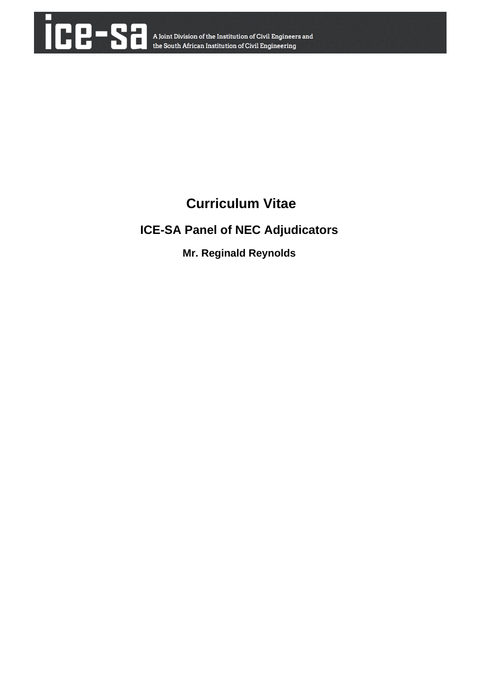

# **Curriculum Vitae**

## **ICE-SA Panel of NEC Adjudicators**

## **Mr. Reginald Reynolds**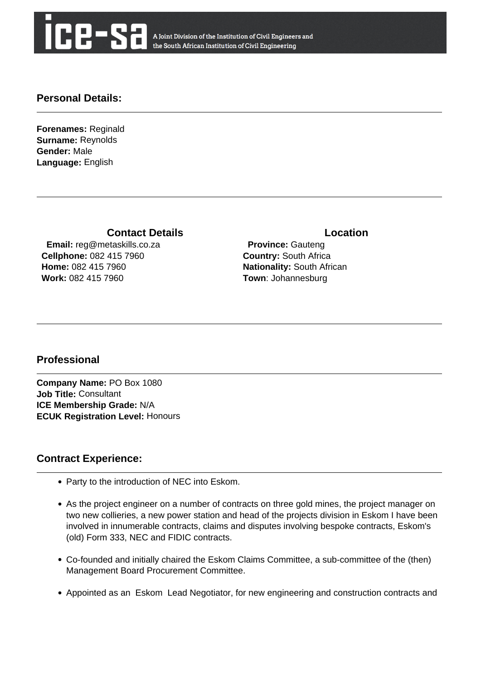

A Joint Division of the Institution of Civil Engineers and the South African Institution of Civil Engineering

#### **Personal Details:**

**Forenames:** Reginald **Surname:** Reynolds **Gender:** Male **Language:** English

#### **Contact Details Contact Details**

 **Email:** reg@metaskills.co.za **Cellphone:** 082 415 7960 **Home:** 082 415 7960 **Work:** 082 415 7960

 **Province:** Gauteng **Country:** South Africa **Nationality:** South African **Town**: Johannesburg

#### **Professional**

**Company Name:** PO Box 1080 **Job Title:** Consultant **ICE Membership Grade:** N/A **ECUK Registration Level:** Honours

#### **Contract Experience:**

- Party to the introduction of NEC into Eskom.
- As the project engineer on a number of contracts on three gold mines, the project manager on two new collieries, a new power station and head of the projects division in Eskom I have been involved in innumerable contracts, claims and disputes involving bespoke contracts, Eskom's (old) Form 333, NEC and FIDIC contracts.
- Co-founded and initially chaired the Eskom Claims Committee, a sub-committee of the (then) Management Board Procurement Committee.
- Appointed as an Eskom Lead Negotiator, for new engineering and construction contracts and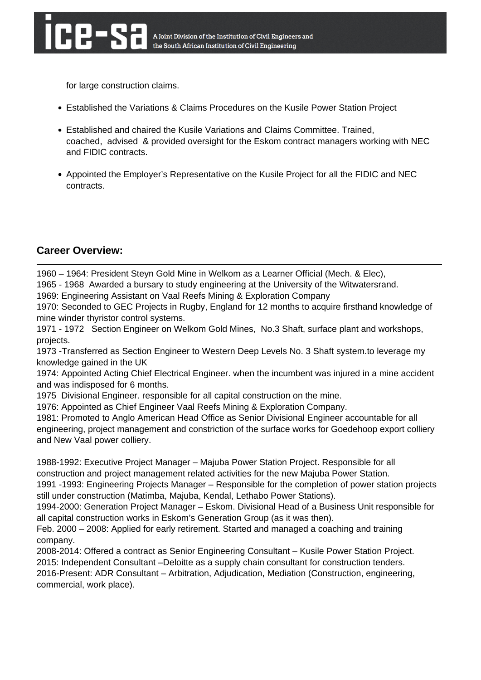for large construction claims.

- Established the Variations & Claims Procedures on the Kusile Power Station Project
- Established and chaired the Kusile Variations and Claims Committee. Trained, coached, advised & provided oversight for the Eskom contract managers working with NEC and FIDIC contracts.
- Appointed the Employer's Representative on the Kusile Project for all the FIDIC and NEC contracts.

### **Career Overview:**

1960 – 1964: President Steyn Gold Mine in Welkom as a Learner Official (Mech. & Elec),

1965 - 1968 Awarded a bursary to study engineering at the University of the Witwatersrand.

1969: Engineering Assistant on Vaal Reefs Mining & Exploration Company

1970: Seconded to GEC Projects in Rugby, England for 12 months to acquire firsthand knowledge of mine winder thyristor control systems.

1971 - 1972 Section Engineer on Welkom Gold Mines, No.3 Shaft, surface plant and workshops, projects.

1973 -Transferred as Section Engineer to Western Deep Levels No. 3 Shaft system.to leverage my knowledge gained in the UK

1974: Appointed Acting Chief Electrical Engineer. when the incumbent was injured in a mine accident and was indisposed for 6 months.

1975 Divisional Engineer. responsible for all capital construction on the mine.

1976: Appointed as Chief Engineer Vaal Reefs Mining & Exploration Company.

1981: Promoted to Anglo American Head Office as Senior Divisional Engineer accountable for all engineering, project management and constriction of the surface works for Goedehoop export colliery and New Vaal power colliery.

1988-1992: Executive Project Manager – Majuba Power Station Project. Responsible for all construction and project management related activities for the new Majuba Power Station.

1991 -1993: Engineering Projects Manager – Responsible for the completion of power station projects still under construction (Matimba, Majuba, Kendal, Lethabo Power Stations).

1994-2000: Generation Project Manager – Eskom. Divisional Head of a Business Unit responsible for all capital construction works in Eskom's Generation Group (as it was then).

Feb. 2000 – 2008: Applied for early retirement. Started and managed a coaching and training company.

2008-2014: Offered a contract as Senior Engineering Consultant – Kusile Power Station Project. 2015: Independent Consultant –Deloitte as a supply chain consultant for construction tenders.

2016-Present: ADR Consultant – Arbitration, Adjudication, Mediation (Construction, engineering, commercial, work place).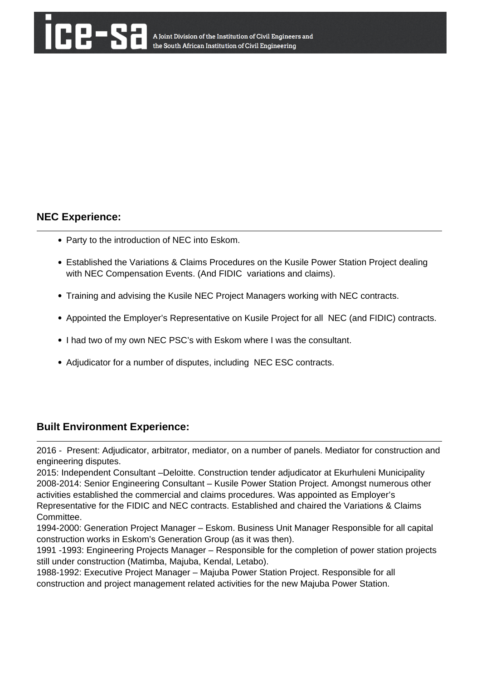#### **NEC Experience:**

- Party to the introduction of NEC into Eskom.
- Established the Variations & Claims Procedures on the Kusile Power Station Project dealing with NEC Compensation Events. (And FIDIC variations and claims).
- Training and advising the Kusile NEC Project Managers working with NEC contracts.
- Appointed the Employer's Representative on Kusile Project for all NEC (and FIDIC) contracts.
- I had two of my own NEC PSC's with Eskom where I was the consultant.
- Adjudicator for a number of disputes, including NEC ESC contracts.

#### **Built Environment Experience:**

2016 - Present: Adjudicator, arbitrator, mediator, on a number of panels. Mediator for construction and engineering disputes.

2015: Independent Consultant –Deloitte. Construction tender adjudicator at Ekurhuleni Municipality 2008-2014: Senior Engineering Consultant – Kusile Power Station Project. Amongst numerous other activities established the commercial and claims procedures. Was appointed as Employer's Representative for the FIDIC and NEC contracts. Established and chaired the Variations & Claims Committee.

1994-2000: Generation Project Manager – Eskom. Business Unit Manager Responsible for all capital construction works in Eskom's Generation Group (as it was then).

1991 -1993: Engineering Projects Manager – Responsible for the completion of power station projects still under construction (Matimba, Majuba, Kendal, Letabo).

1988-1992: Executive Project Manager – Majuba Power Station Project. Responsible for all construction and project management related activities for the new Majuba Power Station.